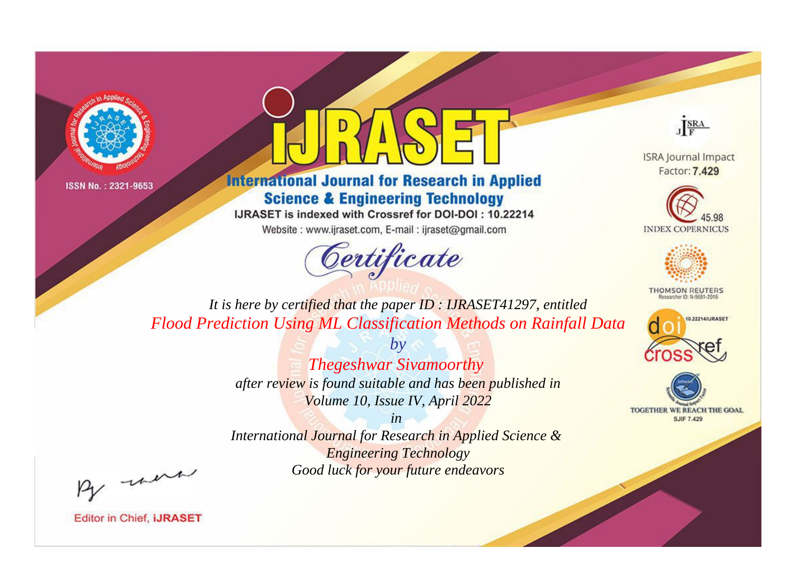



**International Journal for Research in Applied Science & Engineering Technology** 

IJRASET is indexed with Crossref for DOI-DOI: 10.22214

Website: www.ijraset.com, E-mail: ijraset@gmail.com



JERA

**ISRA Journal Impact** Factor: 7.429





**THOMSON REUTERS** 



TOGETHER WE REACH THE GOAL **SJIF 7.429** 

*It is here by certified that the paper ID : IJRASET41297, entitled Flood Prediction Using ML Classification Methods on Rainfall Data*

> *by Thegeshwar Sivamoorthy after review is found suitable and has been published in Volume 10, Issue IV, April 2022*

> > *in*

*International Journal for Research in Applied Science & Engineering Technology Good luck for your future endeavors*

By morn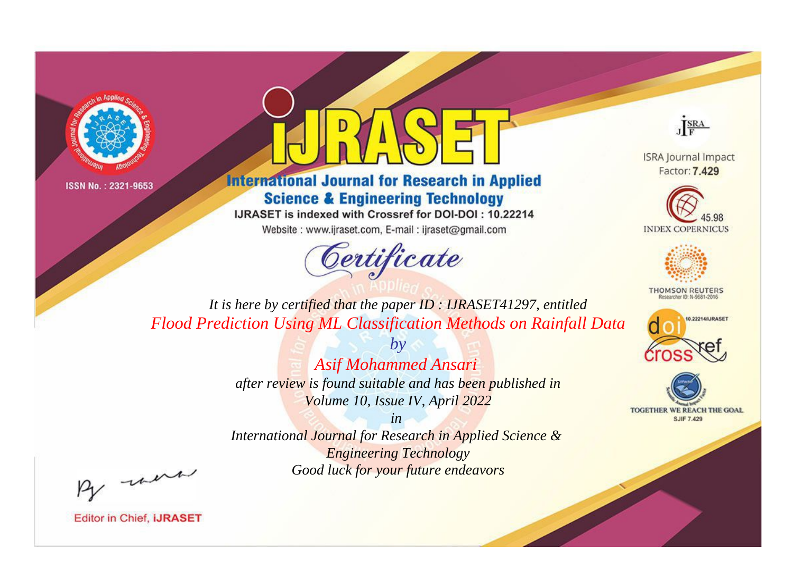



**International Journal for Research in Applied Science & Engineering Technology** 

IJRASET is indexed with Crossref for DOI-DOI: 10.22214

Website: www.ijraset.com, E-mail: ijraset@gmail.com



JERA

**ISRA Journal Impact** Factor: 7.429





**THOMSON REUTERS** 



TOGETHER WE REACH THE GOAL **SJIF 7.429** 

*It is here by certified that the paper ID : IJRASET41297, entitled Flood Prediction Using ML Classification Methods on Rainfall Data*

> *by Asif Mohammed Ansari after review is found suitable and has been published in Volume 10, Issue IV, April 2022*

> > *in*

*International Journal for Research in Applied Science & Engineering Technology Good luck for your future endeavors*

By morn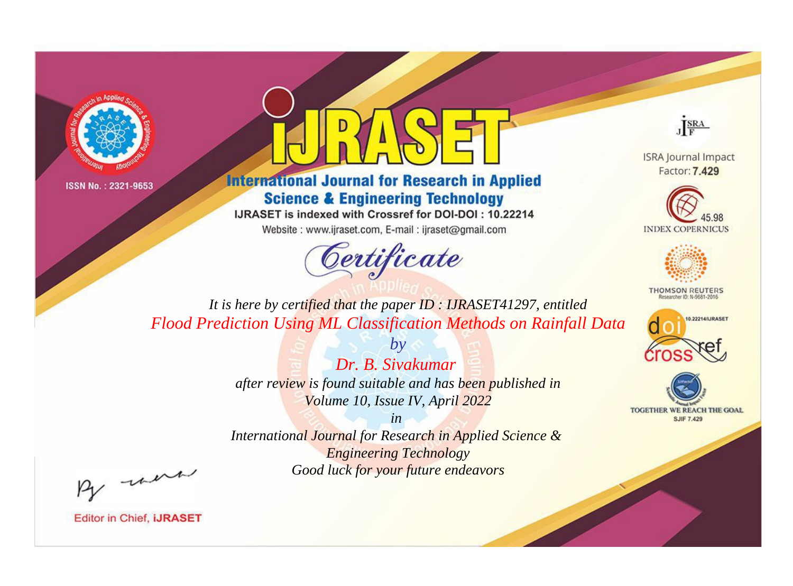



**International Journal for Research in Applied Science & Engineering Technology** 

IJRASET is indexed with Crossref for DOI-DOI: 10.22214

Website: www.ijraset.com, E-mail: ijraset@gmail.com



JERA

**ISRA Journal Impact** Factor: 7.429





**THOMSON REUTERS** 



TOGETHER WE REACH THE GOAL **SJIF 7.429** 

*It is here by certified that the paper ID : IJRASET41297, entitled Flood Prediction Using ML Classification Methods on Rainfall Data*

> *Dr. B. Sivakumar after review is found suitable and has been published in Volume 10, Issue IV, April 2022*

*by*

*in* 

*International Journal for Research in Applied Science & Engineering Technology Good luck for your future endeavors*

By morn